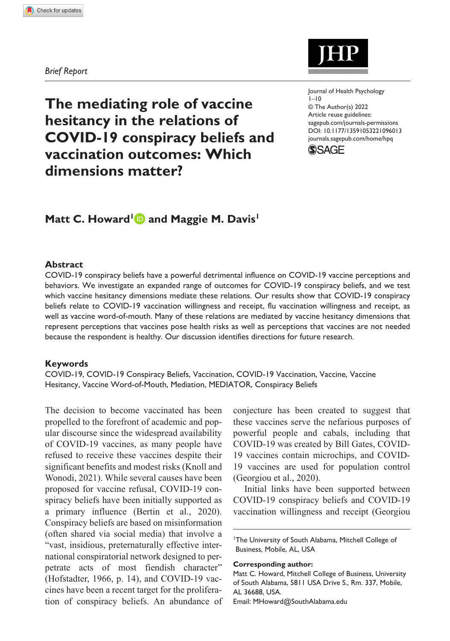#### *Brief Report*

**The mediating role of vaccine hesitancy in the relations of COVID-19 conspiracy beliefs and vaccination outcomes: Which dimensions matter?**

https://doi.org/10.1177/13591053221096013 DOI: 10.1177/13591053221096013 Journal of Health Psychology  $1 - 10$ © The Author(s) 2022 Article reuse guidelines: [sagepub.com/journals-permissions](https://uk.sagepub.com/en-gb/journals-permissions) [journals.sagepub.com/home/hpq](https://journals.sagepub.com/home/hpq)



# Matt C. Howard<sup>1</sup> and Maggie M. Davis<sup>1</sup>

## **Abstract**

COVID-19 conspiracy beliefs have a powerful detrimental influence on COVID-19 vaccine perceptions and behaviors. We investigate an expanded range of outcomes for COVID-19 conspiracy beliefs, and we test which vaccine hesitancy dimensions mediate these relations. Our results show that COVID-19 conspiracy beliefs relate to COVID-19 vaccination willingness and receipt, flu vaccination willingness and receipt, as well as vaccine word-of-mouth. Many of these relations are mediated by vaccine hesitancy dimensions that represent perceptions that vaccines pose health risks as well as perceptions that vaccines are not needed because the respondent is healthy. Our discussion identifies directions for future research.

#### **Keywords**

COVID-19, COVID-19 Conspiracy Beliefs, Vaccination, COVID-19 Vaccination, Vaccine, Vaccine Hesitancy, Vaccine Word-of-Mouth, Mediation, MEDIATOR, Conspiracy Beliefs

The decision to become vaccinated has been propelled to the forefront of academic and popular discourse since the widespread availability of COVID-19 vaccines, as many people have refused to receive these vaccines despite their significant benefits and modest risks (Knoll and Wonodi, 2021). While several causes have been proposed for vaccine refusal, COVID-19 conspiracy beliefs have been initially supported as a primary influence (Bertin et al., 2020). Conspiracy beliefs are based on misinformation (often shared via social media) that involve a "vast, insidious, preternaturally effective international conspiratorial network designed to perpetrate acts of most fiendish character" (Hofstadter, 1966, p. 14), and COVID-19 vaccines have been a recent target for the proliferation of conspiracy beliefs. An abundance of conjecture has been created to suggest that these vaccines serve the nefarious purposes of powerful people and cabals, including that COVID-19 was created by Bill Gates, COVID-19 vaccines contain microchips, and COVID-19 vaccines are used for population control (Georgiou et al., 2020).

Initial links have been supported between COVID-19 conspiracy beliefs and COVID-19 vaccination willingness and receipt (Georgiou

**Corresponding author:**

Matt C. Howard, Mitchell College of Business, University of South Alabama, 5811 USA Drive S., Rm. 337, Mobile, AL 36688, USA. Email: [MHoward@SouthAlabama.edu](mailto:MHoward@SouthAlabama.edu)

<sup>&</sup>lt;sup>1</sup>The University of South Alabama, Mitchell College of Business, Mobile, AL, USA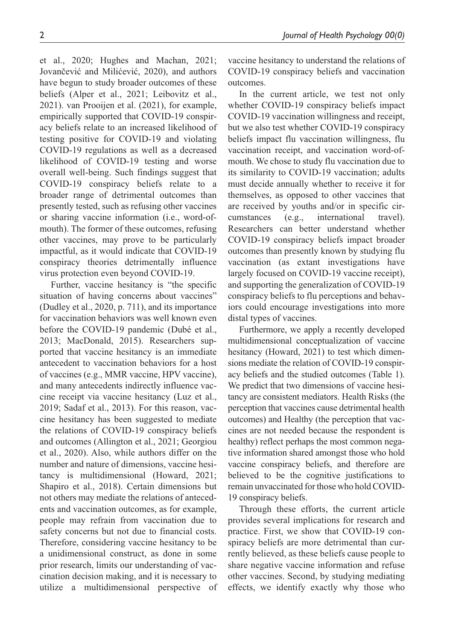et al., 2020; Hughes and Machan, 2021; Jovančević and Milićević, 2020), and authors have begun to study broader outcomes of these beliefs (Alper et al., 2021; Leibovitz et al., 2021). van Prooijen et al. (2021), for example, empirically supported that COVID-19 conspiracy beliefs relate to an increased likelihood of testing positive for COVID-19 and violating COVID-19 regulations as well as a decreased likelihood of COVID-19 testing and worse overall well-being. Such findings suggest that COVID-19 conspiracy beliefs relate to a broader range of detrimental outcomes than presently tested, such as refusing other vaccines or sharing vaccine information (i.e., word-ofmouth). The former of these outcomes, refusing other vaccines, may prove to be particularly impactful, as it would indicate that COVID-19 conspiracy theories detrimentally influence virus protection even beyond COVID-19.

Further, vaccine hesitancy is "the specific situation of having concerns about vaccines" (Dudley et al., 2020, p. 711), and its importance for vaccination behaviors was well known even before the COVID-19 pandemic (Dubé et al., 2013; MacDonald, 2015). Researchers supported that vaccine hesitancy is an immediate antecedent to vaccination behaviors for a host of vaccines (e.g., MMR vaccine, HPV vaccine), and many antecedents indirectly influence vaccine receipt via vaccine hesitancy (Luz et al., 2019; Sadaf et al., 2013). For this reason, vaccine hesitancy has been suggested to mediate the relations of COVID-19 conspiracy beliefs and outcomes (Allington et al., 2021; Georgiou et al., 2020). Also, while authors differ on the number and nature of dimensions, vaccine hesitancy is multidimensional (Howard, 2021; Shapiro et al., 2018). Certain dimensions but not others may mediate the relations of antecedents and vaccination outcomes, as for example, people may refrain from vaccination due to safety concerns but not due to financial costs. Therefore, considering vaccine hesitancy to be a unidimensional construct, as done in some prior research, limits our understanding of vaccination decision making, and it is necessary to utilize a multidimensional perspective of vaccine hesitancy to understand the relations of COVID-19 conspiracy beliefs and vaccination outcomes.

In the current article, we test not only whether COVID-19 conspiracy beliefs impact COVID-19 vaccination willingness and receipt, but we also test whether COVID-19 conspiracy beliefs impact flu vaccination willingness, flu vaccination receipt, and vaccination word-ofmouth. We chose to study flu vaccination due to its similarity to COVID-19 vaccination; adults must decide annually whether to receive it for themselves, as opposed to other vaccines that are received by youths and/or in specific circumstances (e.g., international travel). Researchers can better understand whether COVID-19 conspiracy beliefs impact broader outcomes than presently known by studying flu vaccination (as extant investigations have largely focused on COVID-19 vaccine receipt), and supporting the generalization of COVID-19 conspiracy beliefs to flu perceptions and behaviors could encourage investigations into more distal types of vaccines.

Furthermore, we apply a recently developed multidimensional conceptualization of vaccine hesitancy (Howard, 2021) to test which dimensions mediate the relation of COVID-19 conspiracy beliefs and the studied outcomes (Table 1). We predict that two dimensions of vaccine hesitancy are consistent mediators. Health Risks (the perception that vaccines cause detrimental health outcomes) and Healthy (the perception that vaccines are not needed because the respondent is healthy) reflect perhaps the most common negative information shared amongst those who hold vaccine conspiracy beliefs, and therefore are believed to be the cognitive justifications to remain unvaccinated for those who hold COVID-19 conspiracy beliefs.

Through these efforts, the current article provides several implications for research and practice. First, we show that COVID-19 conspiracy beliefs are more detrimental than currently believed, as these beliefs cause people to share negative vaccine information and refuse other vaccines. Second, by studying mediating effects, we identify exactly why those who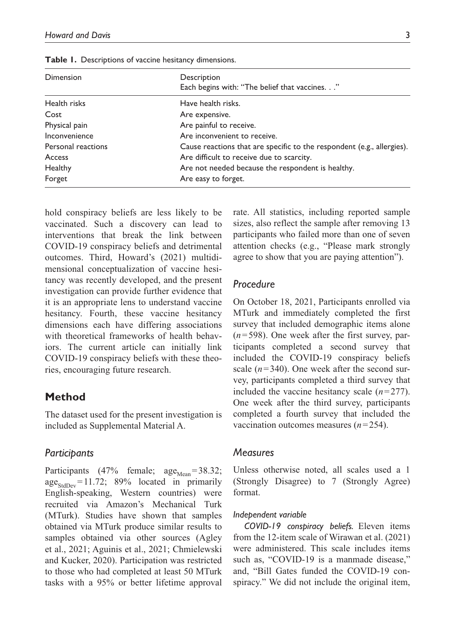| <b>Table 1.</b> Descriptions of vaccine hesitancy dimensions. |                                                              |  |
|---------------------------------------------------------------|--------------------------------------------------------------|--|
| Dimension                                                     | Description<br>Each begins with: "The belief that vaccines." |  |
| Health risks                                                  | Have health risks.                                           |  |
| Cost                                                          | Are expensive.                                               |  |
| Physical pain                                                 | Are painful to receive.                                      |  |
| Inconvenience                                                 | Are inconvenient to receive.                                 |  |

Personal reactions Cause reactions that are specific to the respondent (e.g., allergies).

Access **Are difficult to receive due to scarcity.** 

Healthy **Are not needed because the respondent is healthy.** Are not needed because the respondent is healthy.

**Table 1. Descriptions** 

Forget **Are easy to forget.** 

hold conspiracy beliefs are less likely to be vaccinated. Such a discovery can lead to interventions that break the link between COVID-19 conspiracy beliefs and detrimental outcomes. Third, Howard's (2021) multidimensional conceptualization of vaccine hesitancy was recently developed, and the present investigation can provide further evidence that it is an appropriate lens to understand vaccine hesitancy. Fourth, these vaccine hesitancy dimensions each have differing associations with theoretical frameworks of health behaviors. The current article can initially link COVID-19 conspiracy beliefs with these theories, encouraging future research.

# **Method**

The dataset used for the present investigation is included as Supplemental Material A.

# *Participants*

Participants (47% female;  $age_{Mean} = 38.32$ ;  $age<sub>StdDev</sub> = 11.72$ ; 89% located in primarily English-speaking, Western countries) were recruited via Amazon's Mechanical Turk (MTurk). Studies have shown that samples obtained via MTurk produce similar results to samples obtained via other sources (Agley et al., 2021; Aguinis et al., 2021; Chmielewski and Kucker, 2020). Participation was restricted to those who had completed at least 50 MTurk tasks with a 95% or better lifetime approval

rate. All statistics, including reported sample sizes, also reflect the sample after removing 13 participants who failed more than one of seven attention checks (e.g., "Please mark strongly agree to show that you are paying attention").

# *Procedure*

On October 18, 2021, Participants enrolled via MTurk and immediately completed the first survey that included demographic items alone (*n*=598). One week after the first survey, participants completed a second survey that included the COVID-19 conspiracy beliefs scale  $(n=340)$ . One week after the second survey, participants completed a third survey that included the vaccine hesitancy scale (*n*=277). One week after the third survey, participants completed a fourth survey that included the vaccination outcomes measures (*n*=254).

### *Measures*

Unless otherwise noted, all scales used a 1 (Strongly Disagree) to 7 (Strongly Agree) format.

#### *Independent variable*

*COVID-19 conspiracy beliefs.* Eleven items from the 12-item scale of Wirawan et al. (2021) were administered. This scale includes items such as, "COVID-19 is a manmade disease," and, "Bill Gates funded the COVID-19 conspiracy." We did not include the original item,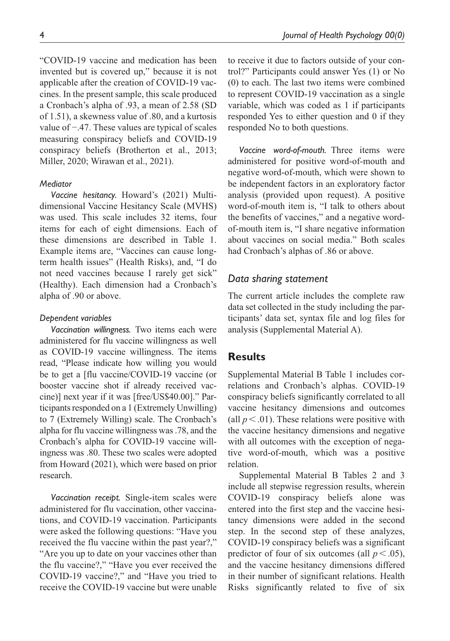"COVID-19 vaccine and medication has been invented but is covered up," because it is not applicable after the creation of COVID-19 vaccines. In the present sample, this scale produced a Cronbach's alpha of .93, a mean of 2.58 (SD of 1.51), a skewness value of .80, and a kurtosis value of −.47. These values are typical of scales measuring conspiracy beliefs and COVID-19 conspiracy beliefs (Brotherton et al., 2013; Miller, 2020; Wirawan et al., 2021).

### *Mediator*

*Vaccine hesitancy.* Howard's (2021) Multidimensional Vaccine Hesitancy Scale (MVHS) was used. This scale includes 32 items, four items for each of eight dimensions. Each of these dimensions are described in Table 1. Example items are, "Vaccines can cause longterm health issues" (Health Risks), and, "I do not need vaccines because I rarely get sick" (Healthy). Each dimension had a Cronbach's alpha of .90 or above.

#### *Dependent variables*

*Vaccination willingness.* Two items each were administered for flu vaccine willingness as well as COVID-19 vaccine willingness. The items read, "Please indicate how willing you would be to get a [flu vaccine/COVID-19 vaccine (or booster vaccine shot if already received vaccine)] next year if it was [free/US\$40.00]." Participants responded on a 1 (Extremely Unwilling) to 7 (Extremely Willing) scale. The Cronbach's alpha for flu vaccine willingness was .78, and the Cronbach's alpha for COVID-19 vaccine willingness was .80. These two scales were adopted from Howard (2021), which were based on prior research.

*Vaccination receipt.* Single-item scales were administered for flu vaccination, other vaccinations, and COVID-19 vaccination. Participants were asked the following questions: "Have you received the flu vaccine within the past year?," "Are you up to date on your vaccines other than the flu vaccine?," "Have you ever received the COVID-19 vaccine?," and "Have you tried to receive the COVID-19 vaccine but were unable to receive it due to factors outside of your control?" Participants could answer Yes (1) or No (0) to each. The last two items were combined to represent COVID-19 vaccination as a single variable, which was coded as 1 if participants responded Yes to either question and 0 if they responded No to both questions.

*Vaccine word-of-mouth.* Three items were administered for positive word-of-mouth and negative word-of-mouth, which were shown to be independent factors in an exploratory factor analysis (provided upon request). A positive word-of-mouth item is, "I talk to others about the benefits of vaccines," and a negative wordof-mouth item is, "I share negative information about vaccines on social media." Both scales had Cronbach's alphas of .86 or above.

### *Data sharing statement*

The current article includes the complete raw data set collected in the study including the participants' data set, syntax file and log files for analysis (Supplemental Material A).

# **Results**

Supplemental Material B Table 1 includes correlations and Cronbach's alphas. COVID-19 conspiracy beliefs significantly correlated to all vaccine hesitancy dimensions and outcomes (all  $p < .01$ ). These relations were positive with the vaccine hesitancy dimensions and negative with all outcomes with the exception of negative word-of-mouth, which was a positive relation.

Supplemental Material B Tables 2 and 3 include all stepwise regression results, wherein COVID-19 conspiracy beliefs alone was entered into the first step and the vaccine hesitancy dimensions were added in the second step. In the second step of these analyzes, COVID-19 conspiracy beliefs was a significant predictor of four of six outcomes (all  $p < .05$ ), and the vaccine hesitancy dimensions differed in their number of significant relations. Health Risks significantly related to five of six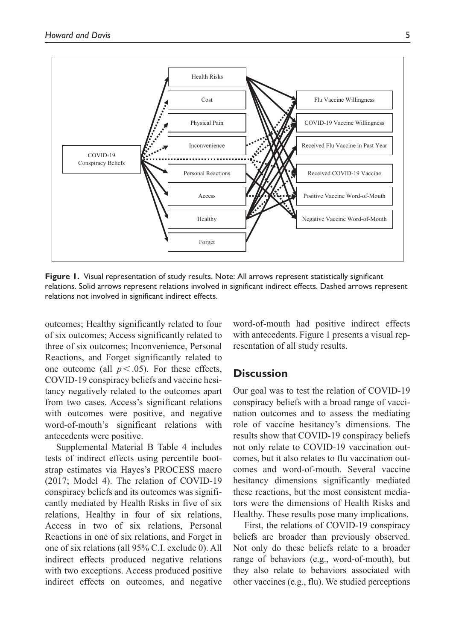

**Figure 1.** Visual representation of study results. Note: All arrows represent statistically significant relations. Solid arrows represent relations involved in significant indirect effects. Dashed arrows represent relations not involved in significant indirect effects.

outcomes; Healthy significantly related to four of six outcomes; Access significantly related to three of six outcomes; Inconvenience, Personal Reactions, and Forget significantly related to one outcome (all  $p < .05$ ). For these effects, COVID-19 conspiracy beliefs and vaccine hesitancy negatively related to the outcomes apart from two cases. Access's significant relations with outcomes were positive, and negative word-of-mouth's significant relations with antecedents were positive.

Supplemental Material B Table 4 includes tests of indirect effects using percentile bootstrap estimates via Hayes's PROCESS macro (2017; Model 4). The relation of COVID-19 conspiracy beliefs and its outcomes was significantly mediated by Health Risks in five of six relations, Healthy in four of six relations, Access in two of six relations, Personal Reactions in one of six relations, and Forget in one of six relations (all 95% C.I. exclude 0). All indirect effects produced negative relations with two exceptions. Access produced positive indirect effects on outcomes, and negative

word-of-mouth had positive indirect effects with antecedents. Figure 1 presents a visual representation of all study results.

# **Discussion**

Our goal was to test the relation of COVID-19 conspiracy beliefs with a broad range of vaccination outcomes and to assess the mediating role of vaccine hesitancy's dimensions. The results show that COVID-19 conspiracy beliefs not only relate to COVID-19 vaccination outcomes, but it also relates to flu vaccination outcomes and word-of-mouth. Several vaccine hesitancy dimensions significantly mediated these reactions, but the most consistent mediators were the dimensions of Health Risks and Healthy. These results pose many implications.

First, the relations of COVID-19 conspiracy beliefs are broader than previously observed. Not only do these beliefs relate to a broader range of behaviors (e.g., word-of-mouth), but they also relate to behaviors associated with other vaccines (e.g., flu). We studied perceptions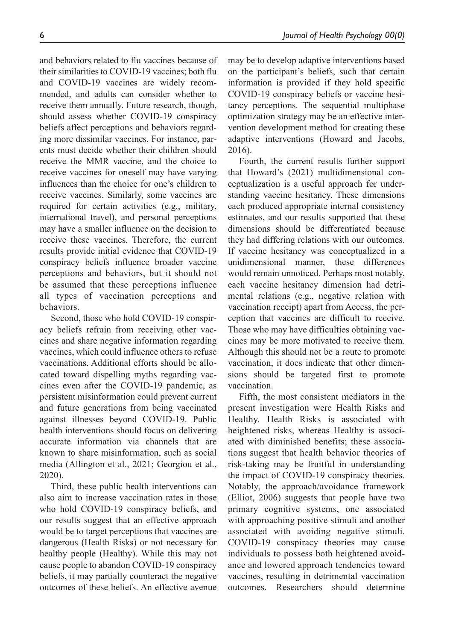and behaviors related to flu vaccines because of their similarities to COVID-19 vaccines; both flu and COVID-19 vaccines are widely recommended, and adults can consider whether to receive them annually. Future research, though, should assess whether COVID-19 conspiracy beliefs affect perceptions and behaviors regarding more dissimilar vaccines. For instance, parents must decide whether their children should receive the MMR vaccine, and the choice to receive vaccines for oneself may have varying influences than the choice for one's children to receive vaccines. Similarly, some vaccines are required for certain activities (e.g., military, international travel), and personal perceptions may have a smaller influence on the decision to receive these vaccines. Therefore, the current results provide initial evidence that COVID-19 conspiracy beliefs influence broader vaccine perceptions and behaviors, but it should not be assumed that these perceptions influence all types of vaccination perceptions and behaviors.

Second, those who hold COVID-19 conspiracy beliefs refrain from receiving other vaccines and share negative information regarding vaccines, which could influence others to refuse vaccinations. Additional efforts should be allocated toward dispelling myths regarding vaccines even after the COVID-19 pandemic, as persistent misinformation could prevent current and future generations from being vaccinated against illnesses beyond COVID-19. Public health interventions should focus on delivering accurate information via channels that are known to share misinformation, such as social media (Allington et al., 2021; Georgiou et al., 2020).

Third, these public health interventions can also aim to increase vaccination rates in those who hold COVID-19 conspiracy beliefs, and our results suggest that an effective approach would be to target perceptions that vaccines are dangerous (Health Risks) or not necessary for healthy people (Healthy). While this may not cause people to abandon COVID-19 conspiracy beliefs, it may partially counteract the negative outcomes of these beliefs. An effective avenue

may be to develop adaptive interventions based on the participant's beliefs, such that certain information is provided if they hold specific COVID-19 conspiracy beliefs or vaccine hesitancy perceptions. The sequential multiphase optimization strategy may be an effective intervention development method for creating these adaptive interventions (Howard and Jacobs, 2016).

Fourth, the current results further support that Howard's (2021) multidimensional conceptualization is a useful approach for understanding vaccine hesitancy. These dimensions each produced appropriate internal consistency estimates, and our results supported that these dimensions should be differentiated because they had differing relations with our outcomes. If vaccine hesitancy was conceptualized in a unidimensional manner, these differences would remain unnoticed. Perhaps most notably, each vaccine hesitancy dimension had detrimental relations (e.g., negative relation with vaccination receipt) apart from Access, the perception that vaccines are difficult to receive. Those who may have difficulties obtaining vaccines may be more motivated to receive them. Although this should not be a route to promote vaccination, it does indicate that other dimensions should be targeted first to promote vaccination.

Fifth, the most consistent mediators in the present investigation were Health Risks and Healthy. Health Risks is associated with heightened risks, whereas Healthy is associated with diminished benefits; these associations suggest that health behavior theories of risk-taking may be fruitful in understanding the impact of COVID-19 conspiracy theories. Notably, the approach/avoidance framework (Elliot, 2006) suggests that people have two primary cognitive systems, one associated with approaching positive stimuli and another associated with avoiding negative stimuli. COVID-19 conspiracy theories may cause individuals to possess both heightened avoidance and lowered approach tendencies toward vaccines, resulting in detrimental vaccination outcomes. Researchers should determine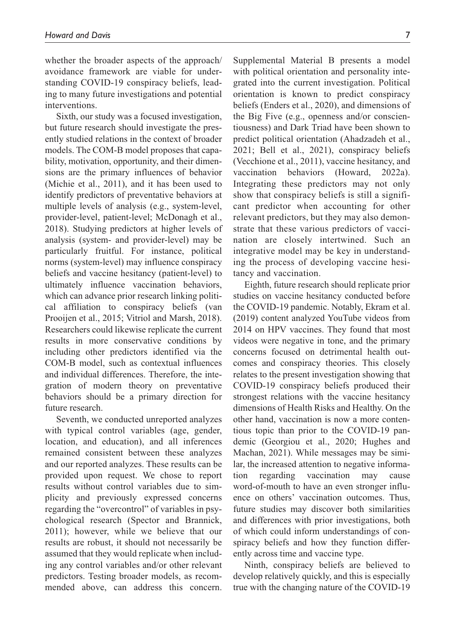whether the broader aspects of the approach/ avoidance framework are viable for understanding COVID-19 conspiracy beliefs, leading to many future investigations and potential interventions.

Sixth, our study was a focused investigation, but future research should investigate the presently studied relations in the context of broader models. The COM-B model proposes that capability, motivation, opportunity, and their dimensions are the primary influences of behavior (Michie et al., 2011), and it has been used to identify predictors of preventative behaviors at multiple levels of analysis (e.g., system-level, provider-level, patient-level; McDonagh et al., 2018). Studying predictors at higher levels of analysis (system- and provider-level) may be particularly fruitful. For instance, political norms (system-level) may influence conspiracy beliefs and vaccine hesitancy (patient-level) to ultimately influence vaccination behaviors, which can advance prior research linking political affiliation to conspiracy beliefs (van Prooijen et al., 2015; Vitriol and Marsh, 2018). Researchers could likewise replicate the current results in more conservative conditions by including other predictors identified via the COM-B model, such as contextual influences and individual differences. Therefore, the integration of modern theory on preventative behaviors should be a primary direction for future research.

Seventh, we conducted unreported analyzes with typical control variables (age, gender, location, and education), and all inferences remained consistent between these analyzes and our reported analyzes. These results can be provided upon request. We chose to report results without control variables due to simplicity and previously expressed concerns regarding the "overcontrol" of variables in psychological research (Spector and Brannick, 2011); however, while we believe that our results are robust, it should not necessarily be assumed that they would replicate when including any control variables and/or other relevant predictors. Testing broader models, as recommended above, can address this concern.

Supplemental Material B presents a model with political orientation and personality integrated into the current investigation. Political orientation is known to predict conspiracy beliefs (Enders et al., 2020), and dimensions of the Big Five (e.g., openness and/or conscientiousness) and Dark Triad have been shown to predict political orientation (Ahadzadeh et al., 2021; Bell et al., 2021), conspiracy beliefs (Vecchione et al., 2011), vaccine hesitancy, and vaccination behaviors (Howard, 2022a). Integrating these predictors may not only show that conspiracy beliefs is still a significant predictor when accounting for other relevant predictors, but they may also demonstrate that these various predictors of vaccination are closely intertwined. Such an integrative model may be key in understanding the process of developing vaccine hesitancy and vaccination.

Eighth, future research should replicate prior studies on vaccine hesitancy conducted before the COVID-19 pandemic. Notably, Ekram et al. (2019) content analyzed YouTube videos from 2014 on HPV vaccines. They found that most videos were negative in tone, and the primary concerns focused on detrimental health outcomes and conspiracy theories. This closely relates to the present investigation showing that COVID-19 conspiracy beliefs produced their strongest relations with the vaccine hesitancy dimensions of Health Risks and Healthy. On the other hand, vaccination is now a more contentious topic than prior to the COVID-19 pandemic (Georgiou et al., 2020; Hughes and Machan, 2021). While messages may be similar, the increased attention to negative information regarding vaccination may cause word-of-mouth to have an even stronger influence on others' vaccination outcomes. Thus, future studies may discover both similarities and differences with prior investigations, both of which could inform understandings of conspiracy beliefs and how they function differently across time and vaccine type.

Ninth, conspiracy beliefs are believed to develop relatively quickly, and this is especially true with the changing nature of the COVID-19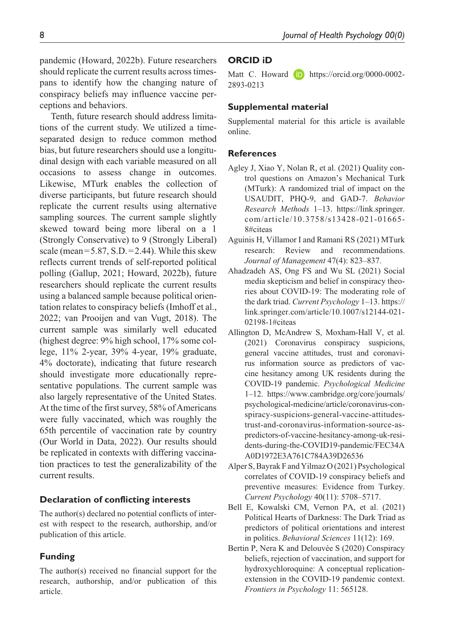pandemic (Howard, 2022b). Future researchers should replicate the current results across timespans to identify how the changing nature of conspiracy beliefs may influence vaccine perceptions and behaviors.

Tenth, future research should address limitations of the current study. We utilized a timeseparated design to reduce common method bias, but future researchers should use a longitudinal design with each variable measured on all occasions to assess change in outcomes. Likewise, MTurk enables the collection of diverse participants, but future research should replicate the current results using alternative sampling sources. The current sample slightly skewed toward being more liberal on a 1 (Strongly Conservative) to 9 (Strongly Liberal) scale (mean=5.87, S.D.=2.44). While this skew reflects current trends of self-reported political polling (Gallup, 2021; Howard, 2022b), future researchers should replicate the current results using a balanced sample because political orientation relates to conspiracy beliefs (Imhoff et al., 2022; van Prooijen and van Vugt, 2018). The current sample was similarly well educated (highest degree: 9% high school, 17% some college, 11% 2-year, 39% 4-year, 19% graduate, 4% doctorate), indicating that future research should investigate more educationally representative populations. The current sample was also largely representative of the United States. At the time of the first survey, 58% of Americans were fully vaccinated, which was roughly the 65th percentile of vaccination rate by country (Our World in Data, 2022). Our results should be replicated in contexts with differing vaccination practices to test the generalizability of the current results.

### **Declaration of conflicting interests**

The author(s) declared no potential conflicts of interest with respect to the research, authorship, and/or publication of this article.

# **Funding**

The author(s) received no financial support for the research, authorship, and/or publication of this article.

# **ORCID iD**

Matt C. Howard **iD** [https://orcid.org/0000-0002-](https://orcid.org/0000-0002-2893-0213) [2893-0213](https://orcid.org/0000-0002-2893-0213)

### **Supplemental material**

Supplemental material for this article is available online.

### **References**

- Agley J, Xiao Y, Nolan R, et al. (2021) Quality control questions on Amazon's Mechanical Turk (MTurk): A randomized trial of impact on the USAUDIT, PHQ-9, and GAD-7. *Behavior Research Methods* 1–13. [https://link.springer.](https://link.springer.com/article/10.3758/s13428-021-01665-8#citeas) [com/article/10.3758/s13428-021-01665-](https://link.springer.com/article/10.3758/s13428-021-01665-8#citeas) [8#citeas](https://link.springer.com/article/10.3758/s13428-021-01665-8#citeas)
- Aguinis H, Villamor I and Ramani RS (2021) MTurk research: Review and recommendations. *Journal of Management* 47(4): 823–837.
- Ahadzadeh AS, Ong FS and Wu SL (2021) Social media skepticism and belief in conspiracy theories about COVID-19: The moderating role of the dark triad. *Current Psychology* 1–13. [https://](https://link.springer.com/article/10.1007/s12144-021-02198-1#citeas) [link.springer.com/article/10.1007/s12144-021-](https://link.springer.com/article/10.1007/s12144-021-02198-1#citeas) [02198-1#citeas](https://link.springer.com/article/10.1007/s12144-021-02198-1#citeas)
- Allington D, McAndrew S, Moxham-Hall V, et al. (2021) Coronavirus conspiracy suspicions, general vaccine attitudes, trust and coronavirus information source as predictors of vaccine hesitancy among UK residents during the COVID-19 pandemic. *Psychological Medicine* 1–12. [https://www.cambridge.org/core/journals/](https://www.cambridge.org/core/journals/psychological-medicine/article/coronavirus-conspiracy-suspicions-general-vaccine-attitudes-trust-and-coronavirus-information-source-as-predictors-of-vaccine-hesitancy-among-uk-residents-during-the-COVID19-pandemic/FEC34AA0D1972E3A761C784A39D26536) [psychological-medicine/article/coronavirus-con](https://www.cambridge.org/core/journals/psychological-medicine/article/coronavirus-conspiracy-suspicions-general-vaccine-attitudes-trust-and-coronavirus-information-source-as-predictors-of-vaccine-hesitancy-among-uk-residents-during-the-COVID19-pandemic/FEC34AA0D1972E3A761C784A39D26536)[spiracy-suspicions-general-vaccine-attitudes](https://www.cambridge.org/core/journals/psychological-medicine/article/coronavirus-conspiracy-suspicions-general-vaccine-attitudes-trust-and-coronavirus-information-source-as-predictors-of-vaccine-hesitancy-among-uk-residents-during-the-COVID19-pandemic/FEC34AA0D1972E3A761C784A39D26536)[trust-and-coronavirus-information-source-as](https://www.cambridge.org/core/journals/psychological-medicine/article/coronavirus-conspiracy-suspicions-general-vaccine-attitudes-trust-and-coronavirus-information-source-as-predictors-of-vaccine-hesitancy-among-uk-residents-during-the-COVID19-pandemic/FEC34AA0D1972E3A761C784A39D26536)[predictors-of-vaccine-hesitancy-among-uk-resi](https://www.cambridge.org/core/journals/psychological-medicine/article/coronavirus-conspiracy-suspicions-general-vaccine-attitudes-trust-and-coronavirus-information-source-as-predictors-of-vaccine-hesitancy-among-uk-residents-during-the-COVID19-pandemic/FEC34AA0D1972E3A761C784A39D26536)[dents-during-the-COVID19-pandemic/FEC34A](https://www.cambridge.org/core/journals/psychological-medicine/article/coronavirus-conspiracy-suspicions-general-vaccine-attitudes-trust-and-coronavirus-information-source-as-predictors-of-vaccine-hesitancy-among-uk-residents-during-the-COVID19-pandemic/FEC34AA0D1972E3A761C784A39D26536) [A0D1972E3A761C784A39D26536](https://www.cambridge.org/core/journals/psychological-medicine/article/coronavirus-conspiracy-suspicions-general-vaccine-attitudes-trust-and-coronavirus-information-source-as-predictors-of-vaccine-hesitancy-among-uk-residents-during-the-COVID19-pandemic/FEC34AA0D1972E3A761C784A39D26536)
- Alper S, Bayrak F and Yilmaz O (2021) Psychological correlates of COVID-19 conspiracy beliefs and preventive measures: Evidence from Turkey. *Current Psychology* 40(11): 5708–5717.
- Bell E, Kowalski CM, Vernon PA, et al. (2021) Political Hearts of Darkness: The Dark Triad as predictors of political orientations and interest in politics. *Behavioral Sciences* 11(12): 169.
- Bertin P, Nera K and Delouvée S (2020) Conspiracy beliefs, rejection of vaccination, and support for hydroxychloroquine: A conceptual replicationextension in the COVID-19 pandemic context. *Frontiers in Psychology* 11: 565128.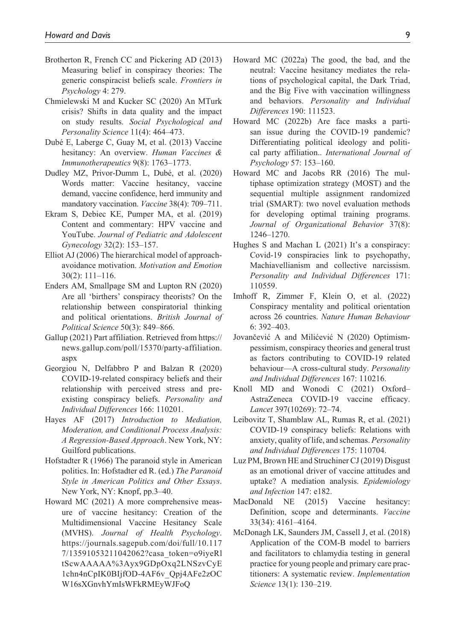- Brotherton R, French CC and Pickering AD (2013) Measuring belief in conspiracy theories: The generic conspiracist beliefs scale. *Frontiers in Psychology* 4: 279.
- Chmielewski M and Kucker SC (2020) An MTurk crisis? Shifts in data quality and the impact on study results. *Social Psychological and Personality Science* 11(4): 464–473.
- Dubé E, Laberge C, Guay M, et al. (2013) Vaccine hesitancy: An overview. *Human Vaccines & Immunotherapeutics* 9(8): 1763–1773.
- Dudley MZ, Privor-Dumm L, Dubé, et al. (2020) Words matter: Vaccine hesitancy, vaccine demand, vaccine confidence, herd immunity and mandatory vaccination. *Vaccine* 38(4): 709–711.
- Ekram S, Debiec KE, Pumper MA, et al. (2019) Content and commentary: HPV vaccine and YouTube. *Journal of Pediatric and Adolescent Gynecology* 32(2): 153–157.
- Elliot AJ (2006) The hierarchical model of approachavoidance motivation. *Motivation and Emotion* 30(2): 111–116.
- Enders AM, Smallpage SM and Lupton RN (2020) Are all 'birthers' conspiracy theorists? On the relationship between conspiratorial thinking and political orientations. *British Journal of Political Science* 50(3): 849–866.
- Gallup (2021) Part affiliation. Retrieved from [https://](https://news.gallup.com/poll/15370/party-affiliation.aspx) [news.gallup.com/poll/15370/party-affiliation.](https://news.gallup.com/poll/15370/party-affiliation.aspx) [aspx](https://news.gallup.com/poll/15370/party-affiliation.aspx)
- Georgiou N, Delfabbro P and Balzan R (2020) COVID-19-related conspiracy beliefs and their relationship with perceived stress and preexisting conspiracy beliefs. *Personality and Individual Differences* 166: 110201.
- Hayes AF (2017) *Introduction to Mediation, Moderation, and Conditional Process Analysis: A Regression-Based Approach*. New York, NY: Guilford publications.
- Hofstadter R (1966) The paranoid style in American politics. In: Hofstadter ed R. (ed.) *The Paranoid Style in American Politics and Other Essays*. New York, NY: Knopf, pp.3–40.
- Howard MC (2021) A more comprehensive measure of vaccine hesitancy: Creation of the Multidimensional Vaccine Hesitancy Scale (MVHS). *Journal of Health Psychology*. [https://journals.sagepub.com/doi/full/10.117](https://journals.sagepub.com/doi/full/10.1177/13591053211042062?casa_token=o9iyeRltScwAAAAA%3Ayx9GDpOxq2LNSzvCyE1chn4nCpIK0BIjfOD-4AF6v_Qpj4AFe2zOCW16sXGnvhYmIsWFkRMEyWJFoQ) [7/13591053211042062?casa\\_token=o9iyeRl](https://journals.sagepub.com/doi/full/10.1177/13591053211042062?casa_token=o9iyeRltScwAAAAA%3Ayx9GDpOxq2LNSzvCyE1chn4nCpIK0BIjfOD-4AF6v_Qpj4AFe2zOCW16sXGnvhYmIsWFkRMEyWJFoQ) [tScwAAAAA%3Ayx9GDpOxq2LNSzvCyE](https://journals.sagepub.com/doi/full/10.1177/13591053211042062?casa_token=o9iyeRltScwAAAAA%3Ayx9GDpOxq2LNSzvCyE1chn4nCpIK0BIjfOD-4AF6v_Qpj4AFe2zOCW16sXGnvhYmIsWFkRMEyWJFoQ) [1chn4nCpIK0BIjfOD-4AF6v\\_Qpj4AFe2zOC](https://journals.sagepub.com/doi/full/10.1177/13591053211042062?casa_token=o9iyeRltScwAAAAA%3Ayx9GDpOxq2LNSzvCyE1chn4nCpIK0BIjfOD-4AF6v_Qpj4AFe2zOCW16sXGnvhYmIsWFkRMEyWJFoQ) [W16sXGnvhYmIsWFkRMEyWJFoQ](https://journals.sagepub.com/doi/full/10.1177/13591053211042062?casa_token=o9iyeRltScwAAAAA%3Ayx9GDpOxq2LNSzvCyE1chn4nCpIK0BIjfOD-4AF6v_Qpj4AFe2zOCW16sXGnvhYmIsWFkRMEyWJFoQ)
- Howard MC (2022a) The good, the bad, and the neutral: Vaccine hesitancy mediates the relations of psychological capital, the Dark Triad, and the Big Five with vaccination willingness and behaviors. *Personality and Individual Differences* 190: 111523.
- Howard MC (2022b) Are face masks a partisan issue during the COVID-19 pandemic? Differentiating political ideology and political party affiliation.. *International Journal of Psychology* 57: 153–160.
- Howard MC and Jacobs RR (2016) The multiphase optimization strategy (MOST) and the sequential multiple assignment randomized trial (SMART): two novel evaluation methods for developing optimal training programs. *Journal of Organizational Behavior* 37(8): 1246–1270.
- Hughes S and Machan L (2021) It's a conspiracy: Covid-19 conspiracies link to psychopathy, Machiavellianism and collective narcissism. *Personality and Individual Differences* 171: 110559.
- Imhoff R, Zimmer F, Klein O, et al. (2022) Conspiracy mentality and political orientation across 26 countries. *Nature Human Behaviour* 6: 392–403.
- Jovančević A and Milićević N (2020) Optimismpessimism, conspiracy theories and general trust as factors contributing to COVID-19 related behaviour—A cross-cultural study. *Personality and Individual Differences* 167: 110216.
- Knoll MD and Wonodi C (2021) Oxford– AstraZeneca COVID-19 vaccine efficacy. *Lancet* 397(10269): 72–74.
- Leibovitz T, Shamblaw AL, Rumas R, et al. (2021) COVID-19 conspiracy beliefs: Relations with anxiety, quality of life, and schemas. *Personality and Individual Differences* 175: 110704.
- Luz PM, Brown HE and Struchiner CJ (2019) Disgust as an emotional driver of vaccine attitudes and uptake? A mediation analysis. *Epidemiology and Infection* 147: e182.
- MacDonald NE (2015) Vaccine hesitancy: Definition, scope and determinants. *Vaccine* 33(34): 4161–4164.
- McDonagh LK, Saunders JM, Cassell J, et al. (2018) Application of the COM-B model to barriers and facilitators to chlamydia testing in general practice for young people and primary care practitioners: A systematic review. *Implementation Science* 13(1): 130–219.